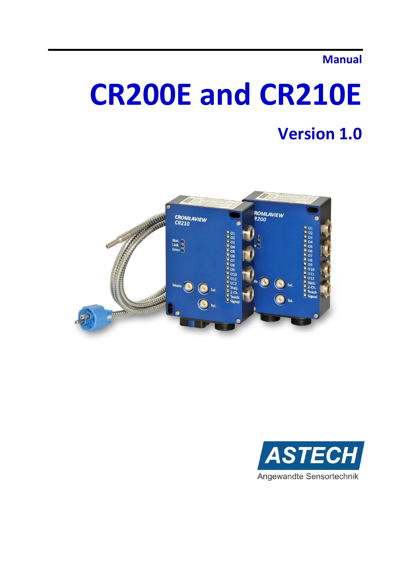## **Manual**

# **CR200E and CR210E**

## **Version 1.0**



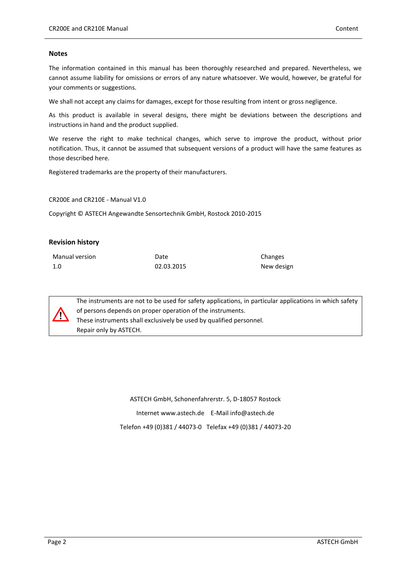#### **Notes**

The information contained in this manual has been thoroughly researched and prepared. Nevertheless, we cannot assume liability for omissions or errors of any nature whatsoever. We would, however, be grateful for your comments or suggestions.

We shall not accept any claims for damages, except for those resulting from intent or gross negligence.

As this product is available in several designs, there might be deviations between the descriptions and instructions in hand and the product supplied.

We reserve the right to make technical changes, which serve to improve the product, without prior notification. Thus, it cannot be assumed that subsequent versions of a product will have the same features as those described here.

Registered trademarks are the property of their manufacturers.

CR200E and CR210E - Manual V1.0

Copyright © ASTECH Angewandte Sensortechnik GmbH, Rostock 2010-2015

#### **Revision history**

| Manual version | Date       | Changes    |
|----------------|------------|------------|
| 1.0            | 02.03.2015 | New design |



The instruments are not to be used for safety applications, in particular applications in which safety of persons depends on proper operation of the instruments. These instruments shall exclusively be used by qualified personnel. Repair only by ASTECH.

> ASTECH GmbH, Schonenfahrerstr. 5, D-18057 Rostock Internet www.astech.de E-Mail info@astech.de Telefon +49 (0)381 / 44073-0 Telefax +49 (0)381 / 44073-20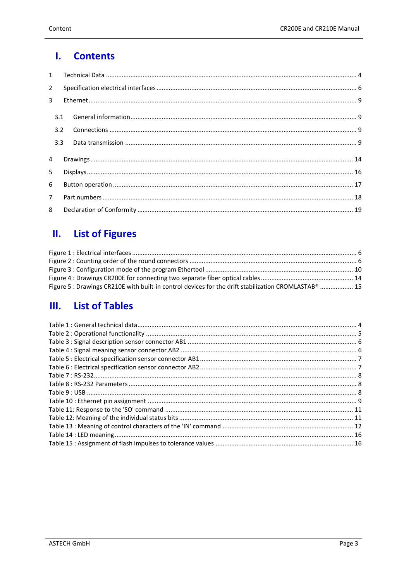#### $\mathbf{I}$ . **Contents**

| $2^{\circ}$    |  |  |  |  |
|----------------|--|--|--|--|
| $\overline{3}$ |  |  |  |  |
|                |  |  |  |  |
| 3.2            |  |  |  |  |
|                |  |  |  |  |
| $\overline{4}$ |  |  |  |  |
| 5              |  |  |  |  |
| 6              |  |  |  |  |
| $7^{\circ}$    |  |  |  |  |
| $\mathsf{R}$   |  |  |  |  |

#### **List of Figures**  $\mathbf{II}$ .

| Figure 5 : Drawings CR210E with built-in control devices for the drift stabilization CROMLASTAB®  15 |  |
|------------------------------------------------------------------------------------------------------|--|

#### **List of Tables**  $III.$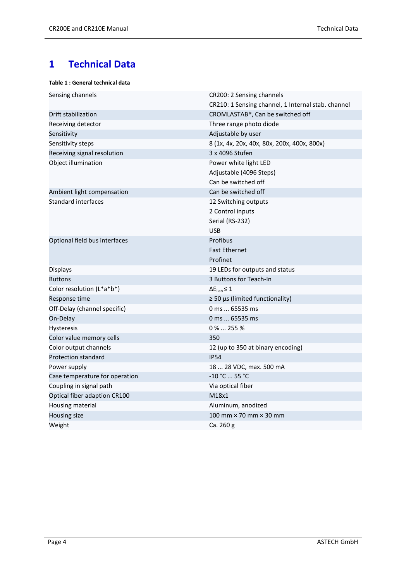## <span id="page-3-0"></span>**1 Technical Data**

#### <span id="page-3-1"></span>**Table 1 : General technical data**

| Sensing channels               | CR200: 2 Sensing channels                          |
|--------------------------------|----------------------------------------------------|
|                                | CR210: 1 Sensing channel, 1 Internal stab. channel |
| Drift stabilization            | CROMLASTAB®, Can be switched off                   |
| Receiving detector             | Three range photo diode                            |
| Sensitivity                    | Adjustable by user                                 |
| Sensitivity steps              | 8 (1x, 4x, 20x, 40x, 80x, 200x, 400x, 800x)        |
| Receiving signal resolution    | 3 x 4096 Stufen                                    |
| Object illumination            | Power white light LED                              |
|                                | Adjustable (4096 Steps)                            |
|                                | Can be switched off                                |
| Ambient light compensation     | Can be switched off                                |
| <b>Standard interfaces</b>     | 12 Switching outputs                               |
|                                | 2 Control inputs                                   |
|                                | Serial (RS-232)                                    |
|                                | <b>USB</b>                                         |
| Optional field bus interfaces  | Profibus                                           |
|                                | <b>Fast Ethernet</b>                               |
|                                | Profinet                                           |
| <b>Displays</b>                | 19 LEDs for outputs and status                     |
| <b>Buttons</b>                 | 3 Buttons for Teach-In                             |
| Color resolution (L*a*b*)      | $\Delta E_{Lab} \leq 1$                            |
| Response time                  | $\geq$ 50 µs (limited functionality)               |
| Off-Delay (channel specific)   | 0 ms  65535 ms                                     |
| On-Delay                       | 0 ms  65535 ms                                     |
| Hysteresis                     | $0\%$ 255 %                                        |
| Color value memory cells       | 350                                                |
| Color output channels          | 12 (up to 350 at binary encoding)                  |
| <b>Protection standard</b>     | <b>IP54</b>                                        |
| Power supply                   | 18  28 VDC, max. 500 mA                            |
| Case temperature for operation | -10 °C  55 °C                                      |
| Coupling in signal path        | Via optical fiber                                  |
| Optical fiber adaption CR100   | M18x1                                              |
| Housing material               | Aluminum, anodized                                 |
| Housing size                   | 100 mm $\times$ 70 mm $\times$ 30 mm               |
| Weight                         | Ca. 260 g                                          |
|                                |                                                    |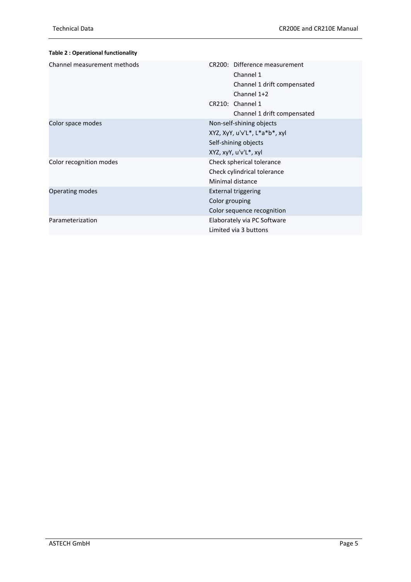<span id="page-4-0"></span>

| <b>Table 2: Operational functionality</b> |                                                                                                                                             |
|-------------------------------------------|---------------------------------------------------------------------------------------------------------------------------------------------|
| Channel measurement methods               | CR200: Difference measurement<br>Channel 1<br>Channel 1 drift compensated<br>Channel 1+2<br>CR210: Channel 1<br>Channel 1 drift compensated |
| Color space modes                         | Non-self-shining objects<br>XYZ, XyY, u'v'L*, L*a*b*, xyl<br>Self-shining objects<br>XYZ, xyY, u'v'L*, xyl                                  |
| Color recognition modes                   | Check spherical tolerance<br>Check cylindrical tolerance<br>Minimal distance                                                                |
| <b>Operating modes</b>                    | <b>External triggering</b><br>Color grouping<br>Color sequence recognition                                                                  |
| Parameterization                          | Elaborately via PC Software<br>Limited via 3 buttons                                                                                        |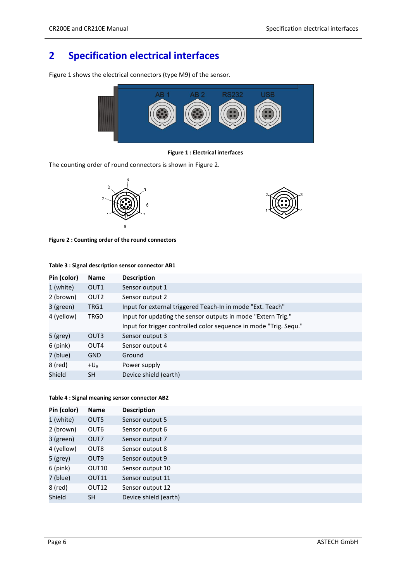## <span id="page-5-0"></span>**2 Specification electrical interfaces**

[Figure 1](#page-5-1) shows the electrical connectors (type M9) of the sensor.



**Figure 1 : Electrical interfaces**

<span id="page-5-1"></span>The counting order of round connectors is shown in [Figure 2.](#page-5-2)





<span id="page-5-2"></span>**Figure 2 : Counting order of the round connectors**

| Pin (color) | <b>Name</b>      | <b>Description</b>                                                |
|-------------|------------------|-------------------------------------------------------------------|
| 1 (white)   | OUT <sub>1</sub> | Sensor output 1                                                   |
| 2 (brown)   | OUT <sub>2</sub> | Sensor output 2                                                   |
| 3 (green)   | TRG1             | Input for external triggered Teach-In in mode "Ext. Teach"        |
| 4 (yellow)  | TRG0             | Input for updating the sensor outputs in mode "Extern Trig."      |
|             |                  | Input for trigger controlled color sequence in mode "Trig. Sequ." |
| $5$ (grey)  | OUT3             | Sensor output 3                                                   |
| $6$ (pink)  | OUT4             | Sensor output 4                                                   |
| 7 (blue)    | <b>GND</b>       | Ground                                                            |
| 8 (red)     | $+U_{\rm R}$     | Power supply                                                      |
| Shield      | <b>SH</b>        | Device shield (earth)                                             |

#### <span id="page-5-3"></span>**Table 3 : Signal description sensor connector AB1**

#### <span id="page-5-4"></span>**Table 4 : Signal meaning sensor connector AB2**

| Pin (color) | <b>Name</b>       | <b>Description</b>    |  |
|-------------|-------------------|-----------------------|--|
| 1 (white)   | OUT5              | Sensor output 5       |  |
| 2 (brown)   | OUT <sub>6</sub>  | Sensor output 6       |  |
| 3 (green)   | OUT7              | Sensor output 7       |  |
| 4 (yellow)  | OUT <sub>8</sub>  | Sensor output 8       |  |
| $5$ (grey)  | OUT <sub>9</sub>  | Sensor output 9       |  |
| $6$ (pink)  | OUT10             | Sensor output 10      |  |
| 7 (blue)    | OUT11             | Sensor output 11      |  |
| 8 (red)     | OUT <sub>12</sub> | Sensor output 12      |  |
| Shield      | <b>SH</b>         | Device shield (earth) |  |
|             |                   |                       |  |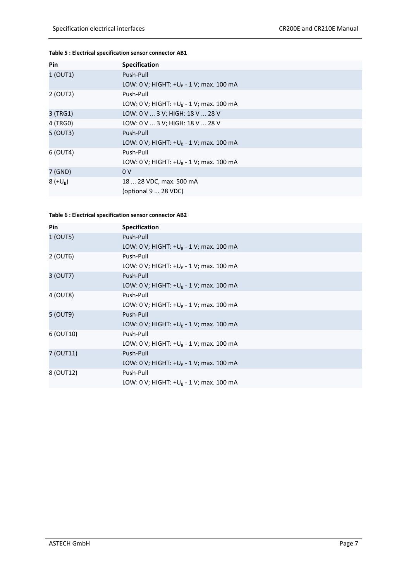#### <span id="page-6-0"></span>**Table 5 : Electrical specification sensor connector AB1**

| Pin        | <b>Specification</b>                       |
|------------|--------------------------------------------|
| 1 (OUT1)   | Push-Pull                                  |
|            | LOW: 0 V; HIGHT: $+U_B - 1$ V; max. 100 mA |
| 2 (OUT2)   | Push-Pull                                  |
|            | LOW: 0 V; HIGHT: $+U_R - 1$ V; max. 100 mA |
| 3 (TRG1)   | LOW: 0 V  3 V; HIGH: 18 V  28 V            |
| 4 (TRG0)   | LOW: 0 V  3 V; HIGH: 18 V  28 V            |
| 5 (OUT3)   | Push-Pull                                  |
|            | LOW: 0 V; HIGHT: $+U_B - 1$ V; max. 100 mA |
| 6 (OUT4)   | Push-Pull                                  |
|            | LOW: 0 V; HIGHT: $+U_B - 1$ V; max. 100 mA |
| 7 (GND)    | 0 <sub>V</sub>                             |
| $8 (+U_B)$ | 18  28 VDC, max. 500 mA                    |
|            | (optional 9  28 VDC)                       |

#### <span id="page-6-1"></span>**Table 6 : Electrical specification sensor connector AB2**

| <b>Pin</b> | <b>Specification</b>                       |
|------------|--------------------------------------------|
| 1 (OUT5)   | Push-Pull                                  |
|            | LOW: 0 V; HIGHT: $+U_B - 1$ V; max. 100 mA |
| 2 (OUT6)   | Push-Pull                                  |
|            | LOW: 0 V; HIGHT: $+U_B - 1$ V; max. 100 mA |
| 3 (OUT7)   | Push-Pull                                  |
|            | LOW: 0 V; HIGHT: $+U_B - 1$ V; max. 100 mA |
| 4 (OUT8)   | Push-Pull                                  |
|            | LOW: 0 V; HIGHT: $+U_B - 1$ V; max. 100 mA |
| 5 (OUT9)   | Push-Pull                                  |
|            | LOW: 0 V; HIGHT: $+U_B - 1$ V; max. 100 mA |
| 6 (OUT10)  | Push-Pull                                  |
|            | LOW: 0 V; HIGHT: $+U_R - 1$ V; max. 100 mA |
| 7 (OUT11)  | Push-Pull                                  |
|            | LOW: 0 V; HIGHT: $+U_R - 1$ V; max. 100 mA |
| 8 (OUT12)  | Push-Pull                                  |
|            | LOW: 0 V; HIGHT: $+U_B - 1$ V; max. 100 mA |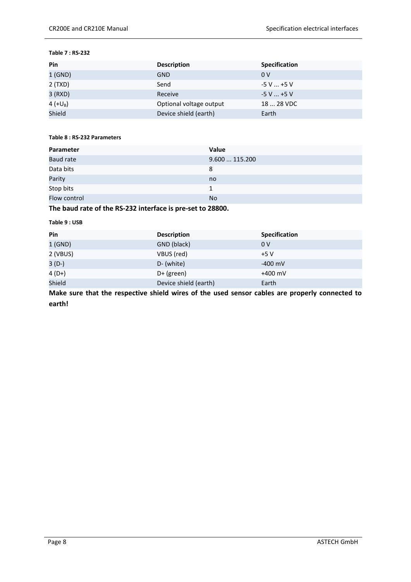#### <span id="page-7-0"></span>**Table 7 : RS-232**

| Pin        | <b>Description</b>      | <b>Specification</b> |
|------------|-------------------------|----------------------|
| $1$ (GND)  | <b>GND</b>              | 0V                   |
| 2 (TXD)    | Send                    | $-5$ V $$ +5 V       |
| 3 (RXD)    | Receive                 | $-5$ V $$ +5 V       |
| 4 $(+U_B)$ | Optional voltage output | 18  28 VDC           |
| Shield     | Device shield (earth)   | Earth                |

#### <span id="page-7-1"></span>**Table 8 : RS-232 Parameters**

| Parameter        | Value        |
|------------------|--------------|
| <b>Baud rate</b> | 9.600115.200 |
| Data bits        | 8            |
| Parity           | no           |
| Stop bits        | 1            |
| Flow control     | <b>No</b>    |
|                  |              |

#### **The baud rate of the RS-232 interface is pre-set to 28800.**

#### <span id="page-7-2"></span>**Table 9 : USB**

| Pin      | <b>Description</b>    | <b>Specification</b> |
|----------|-----------------------|----------------------|
| 1(GND)   | GND (black)           | 0 <sup>V</sup>       |
| 2 (VBUS) | VBUS (red)            | $+5V$                |
| $3(D-)$  | D- (white)            | $-400$ mV            |
| $4(D+)$  | $D+$ (green)          | $+400$ mV            |
| Shield   | Device shield (earth) | Earth                |

**Make sure that the respective shield wires of the used sensor cables are properly connected to earth!**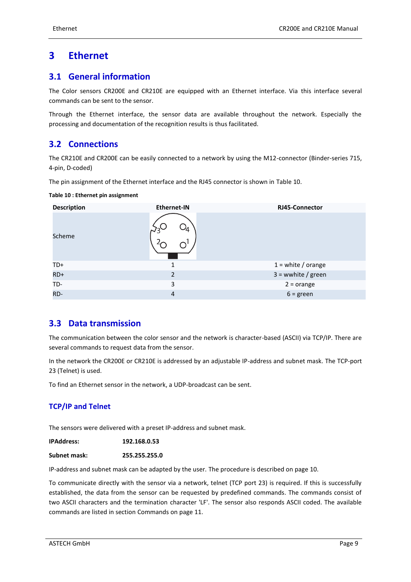### <span id="page-8-0"></span>**3 Ethernet**

#### <span id="page-8-1"></span>**3.1 General information**

The Color sensors CR200E and CR210E are equipped with an Ethernet interface. Via this interface several commands can be sent to the sensor.

Through the Ethernet interface, the sensor data are available throughout the network. Especially the processing and documentation of the recognition results is thus facilitated.

#### <span id="page-8-2"></span>**3.2 Connections**

The CR210E and CR200E can be easily connected to a network by using the M12-connector (Binder-series 715, 4-pin, D-coded)

The pin assignment of the Ethernet interface and the RJ45 connector is shown in [Table 10.](#page-8-4)

| <b>Description</b> | <b>Ethernet-IN</b> | <b>RJ45-Connector</b> |
|--------------------|--------------------|-----------------------|
| Scheme             | $ \sim$<br>∩       |                       |
| TD+                |                    | $1 =$ white / orange  |
| $RD+$              | $\overline{2}$     | $3 =$ wwhite / green  |
| TD-                | 3                  | $2 = orange$          |
| RD-                | 4                  | $6 = green$           |

#### <span id="page-8-4"></span>**Table 10 : Ethernet pin assignment**

#### <span id="page-8-3"></span>**3.3 Data transmission**

The communication between the color sensor and the network is character-based (ASCII) via TCP/IP. There are several commands to request data from the sensor.

In the network the CR200E or CR210E is addressed by an adjustable IP-address and subnet mask. The TCP-port 23 (Telnet) is used.

To find an Ethernet sensor in the network, a UDP-broadcast can be sent.

#### **TCP/IP and Telnet**

The sensors were delivered with a preset IP-address and subnet mask.

**IPAddress: 192.168.0.53**

**Subnet mask: 255.255.255.0**

IP-address and subnet mask can be adapted by the user. The procedure is described on page [10.](#page-9-1)

To communicate directly with the sensor via a network, telnet (TCP port 23) is required. If this is successfully established, the data from the sensor can be requested by predefined commands. The commands consist of two ASCII characters and the termination character 'LF'. The sensor also responds ASCII coded. The available commands are listed in section [Commands](#page-10-2) on page [11.](#page-10-2)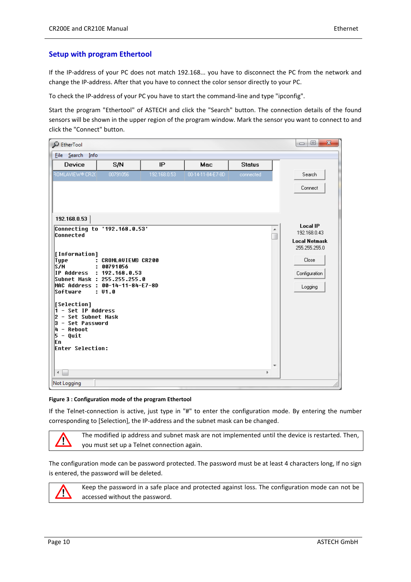#### <span id="page-9-1"></span>**Setup with program Ethertool**

If the IP-address of your PC does not match 192.168... you have to disconnect the PC from the network and change the IP-address. After that you have to connect the color sensor directly to your PC.

To check the IP-address of your PC you have to start the command-line and type "ipconfig".

Start the program "Ethertool" of ASTECH and click the "Search" button. The connection details of the found sensors will be shown in the upper region of the program window. Mark the sensor you want to connect to and click the "Connect" button.

| $\mathcal{Q}$ EtherTool                                                                                                                                                                                                                 |                                                                                                                                                                            |              |                   |               | $\mathbf{x}$<br>o<br>$\qquad \qquad \Box$                                                                     |
|-----------------------------------------------------------------------------------------------------------------------------------------------------------------------------------------------------------------------------------------|----------------------------------------------------------------------------------------------------------------------------------------------------------------------------|--------------|-------------------|---------------|---------------------------------------------------------------------------------------------------------------|
| File Search Info                                                                                                                                                                                                                        |                                                                                                                                                                            |              |                   |               |                                                                                                               |
| Device                                                                                                                                                                                                                                  | S/N                                                                                                                                                                        | IP           | Mac               | <b>Status</b> |                                                                                                               |
| ROMLAVIEW® CR20                                                                                                                                                                                                                         | 00791056                                                                                                                                                                   | 192.168.0.53 | 00-14-11-84-E7-8D | connected     | Search                                                                                                        |
|                                                                                                                                                                                                                                         |                                                                                                                                                                            |              |                   |               | Connect                                                                                                       |
| 192.168.0.53                                                                                                                                                                                                                            |                                                                                                                                                                            |              |                   |               |                                                                                                               |
| <b>Connected</b><br>[Information]<br>Type<br>S/H<br>Software<br><b>[Selection]</b><br>$\overline{1}$ – Set IP Address<br>2 - Set Subnet Mask<br>3 - Set Password<br>$ 4 -$ Reboot<br> 5 - Quit<br>lEn.<br><b>Enter Selection:</b><br>€. | Connecting to '192.168.0.53'<br>: CROMLAVIEW® CR200<br>: 00791056<br>IP Address : 192.168.0.53<br>Subnet Mask : 255.255.255.0<br>MAC Address : 00-14-11-84-E7-8D<br>: 01.0 |              |                   | b.            | <b>Local IP</b><br>192.168.0.43<br><b>Local Netmask</b><br>255.255.255.0<br>Close<br>Configuration<br>Logging |
| <b>Not Logging</b>                                                                                                                                                                                                                      |                                                                                                                                                                            |              |                   |               |                                                                                                               |

#### <span id="page-9-0"></span>**Figure 3 : Configuration mode of the program Ethertool**

If the Telnet-connection is active, just type in "#" to enter the configuration mode. By entering the number corresponding to [Selection], the IP-address and the subnet mask can be changed.

The modified ip address and subnet mask are not implemented until the device is restarted. Then, Ņ you must set up a Telnet connection again.

The configuration mode can be password protected. The password must be at least 4 characters long, If no sign is entered, the password will be deleted.



Keep the password in a safe place and protected against loss. The configuration mode can not be accessed without the password.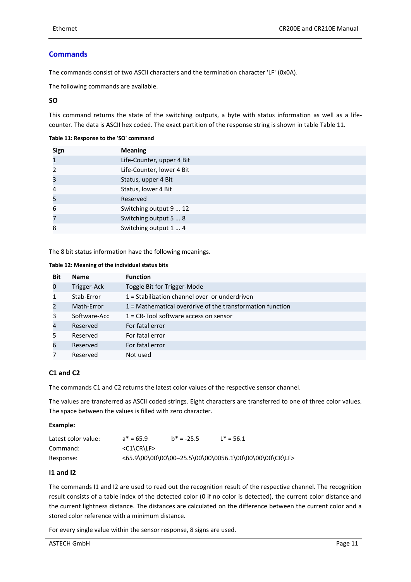#### <span id="page-10-2"></span>**Commands**

The commands consist of two ASCII characters and the termination character 'LF' (0x0A).

The following commands are available.

#### **SO**

This command returns the state of the switching outputs, a byte with status information as well as a lifecounter. The data is ASCII hex coded. The exact partition of the response string is shown in tabl[e Table 11.](#page-10-0)

#### <span id="page-10-0"></span>**Table 11: Response to the 'SO' command**

| Sign                     | <b>Meaning</b>            |
|--------------------------|---------------------------|
| $\mathbf{1}$             | Life-Counter, upper 4 Bit |
| $\overline{\phantom{a}}$ | Life-Counter, lower 4 Bit |
| 3                        | Status, upper 4 Bit       |
| 4                        | Status, lower 4 Bit       |
| 5                        | Reserved                  |
| 6                        | Switching output 9  12    |
| 7                        | Switching output 5  8     |
| 8                        | Switching output 1  4     |

The 8 bit status information have the following meanings.

#### <span id="page-10-1"></span>**Table 12: Meaning of the individual status bits**

| <b>Bit</b>     | <b>Name</b>  | <b>Function</b>                                             |
|----------------|--------------|-------------------------------------------------------------|
| 0              | Trigger-Ack  | Toggle Bit for Trigger-Mode                                 |
| $\mathbf{1}$   | Stab-Error   | 1 = Stabilization channel over or underdriven               |
| $\overline{2}$ | Math-Error   | $1$ = Mathematical overdrive of the transformation function |
| 3              | Software-Acc | $1 = CR$ -Tool software access on sensor                    |
| $\overline{4}$ | Reserved     | For fatal error                                             |
| 5              | Reserved     | For fatal error                                             |
| 6              | Reserved     | For fatal error                                             |
|                | Reserved     | Not used                                                    |

#### **C1 and C2**

The commands C1 and C2 returns the latest color values of the respective sensor channel.

The values are transferred as ASCII coded strings. Eight characters are transferred to one of three color values. The space between the values is filled with zero character.

#### **Example:**

| Latest color value: | $a* = 65.9$   | $b* = -25.5$ | $L^* = 56.1$                                           |
|---------------------|---------------|--------------|--------------------------------------------------------|
| Command:            | $<$ C1\CR\LF> |              |                                                        |
| Response:           |               |              | <65.9\00\00\00\00-25.5\00\00\0056.1\00\00\00\00\CR\LF> |

#### **I1 and I2**

The commands I1 and I2 are used to read out the recognition result of the respective channel. The recognition result consists of a table index of the detected color (0 if no color is detected), the current color distance and the current lightness distance. The distances are calculated on the difference between the current color and a stored color reference with a minimum distance.

For every single value within the sensor response, 8 signs are used.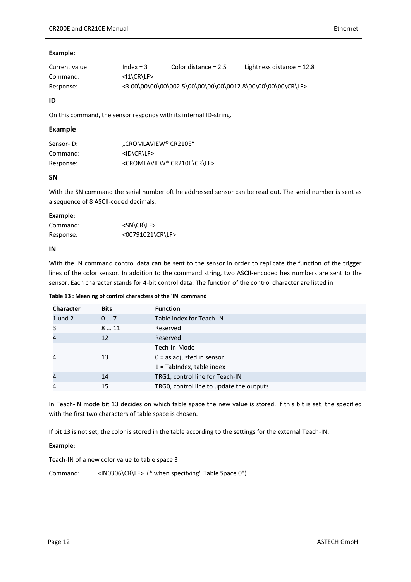#### **Example:**

| Current value: | $Index = 3$                       | Color distance $= 2.5$                                     | Lightness distance = $12.8$ |
|----------------|-----------------------------------|------------------------------------------------------------|-----------------------------|
| Command:       | $<$ I $\angle$ CR $\angle$ LF $>$ |                                                            |                             |
| Response:      |                                   | <3.00\00\00\00\002.5\00\00\00\00\0012.8\00\00\00\00\CR\LF> |                             |

#### **ID**

On this command, the sensor responds with its internal ID-string.

#### **Example**

| Sensor-ID: | "CROMLAVIEW® CR210E"                        |
|------------|---------------------------------------------|
| Command:   | $<$ ID $CR$ LF>                             |
| Response:  | <cromlaview® cr210e\cr\lf=""></cromlaview®> |

#### **SN**

With the SN command the serial number oft he addressed sensor can be read out. The serial number is sent as a sequence of 8 ASCII-coded decimals.

#### **Example:**

| Command:  | <sn\cr\lf></sn\cr\lf> |
|-----------|-----------------------|
| Response: | <00791021\CR\LF>      |

#### **IN**

With the IN command control data can be sent to the sensor in order to replicate the function of the trigger lines of the color sensor. In addition to the command string, two ASCII-encoded hex numbers are sent to the sensor. Each character stands for 4-bit control data. The function of the control character are listed in

<span id="page-11-0"></span>**Table 13 : Meaning of control characters of the 'IN' command**

| <b>Character</b> | <b>Bits</b> | <b>Function</b>                          |
|------------------|-------------|------------------------------------------|
| $1$ und $2$      | 07          | Table index for Teach-IN                 |
| 3                | 811         | Reserved                                 |
| 4                | 12          | Reserved                                 |
|                  |             | Tech-In-Mode                             |
| 4                | 13          | $0 =$ as adjusted in sensor              |
|                  |             | $1 =$ TabIndex, table index              |
| $\overline{4}$   | 14          | TRG1, control line for Teach-IN          |
| 4                | 15          | TRG0, control line to update the outputs |

In Teach-IN mode bit 13 decides on which table space the new value is stored. If this bit is set, the specified with the first two characters of table space is chosen.

If bit 13 is not set, the color is stored in the table according to the settings for the external Teach-IN.

#### **Example:**

Teach-IN of a new color value to table space 3

Command: <IN0306\CR\LF> (\* when specifying" Table Space 0")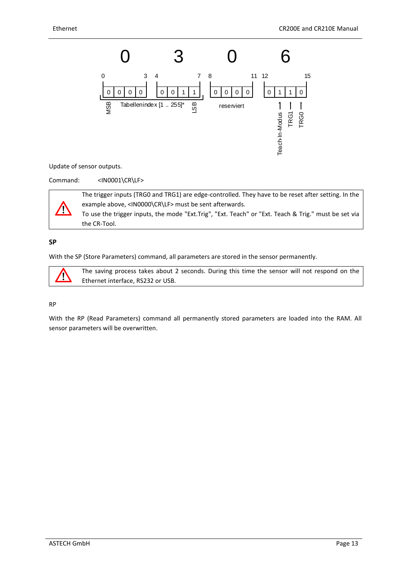

Update of sensor outputs.

Command: <IN0001\CR\LF>

the CR-Tool.



The trigger inputs (TRG0 and TRG1) are edge-controlled. They have to be reset after setting. In the example above, <IN0000\CR\LF> must be sent afterwards. To use the trigger inputs, the mode "Ext.Trig", "Ext. Teach" or "Ext. Teach & Trig." must be set via

**SP**

With the SP (Store Parameters) command, all parameters are stored in the sensor permanently.

Ņ

The saving process takes about 2 seconds. During this time the sensor will not respond on the Ethernet interface, RS232 or USB.

#### RP

With the RP (Read Parameters) command all permanently stored parameters are loaded into the RAM. All sensor parameters will be overwritten.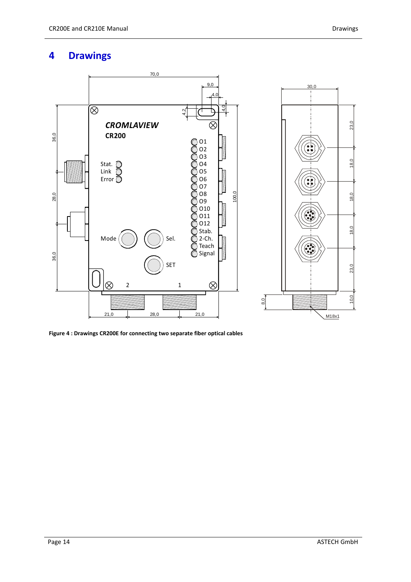## <span id="page-13-0"></span>**4 Drawings**



<span id="page-13-1"></span>**Figure 4 : Drawings CR200E for connecting two separate fiber optical cables**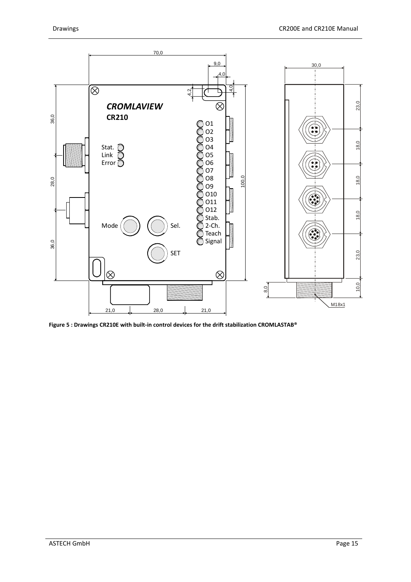

<span id="page-14-0"></span>**Figure 5 : Drawings CR210E with built-in control devices for the drift stabilization CROMLASTAB®**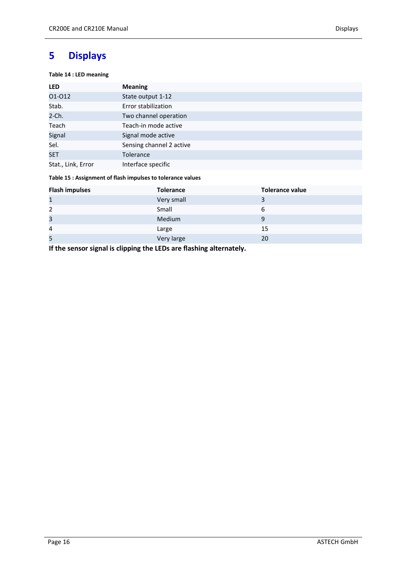#### <span id="page-15-1"></span><span id="page-15-0"></span>**Table 14 : LED meaning**

| <b>LED</b>         | <b>Meaning</b>           |
|--------------------|--------------------------|
| 01-012             | State output 1-12        |
| Stab.              | Error stabilization      |
| 2-Ch.              | Two channel operation    |
| Teach              | Teach-in mode active     |
| Signal             | Signal mode active       |
| Sel.               | Sensing channel 2 active |
| <b>SET</b>         | <b>Tolerance</b>         |
| Stat., Link, Error | Interface specific       |

#### <span id="page-15-2"></span>**Table 15 : Assignment of flash impulses to tolerance values**

| <b>Flash impulses</b> | <b>Tolerance</b> | <b>Tolerance value</b> |
|-----------------------|------------------|------------------------|
| $\mathbf{1}$          | Very small       |                        |
| $\overline{2}$        | Small            | 6                      |
| 3                     | Medium           | 9                      |
| 4                     | Large            | 15                     |
| 5                     | Very large       | 20                     |

**If the sensor signal is clipping the LEDs are flashing alternately.**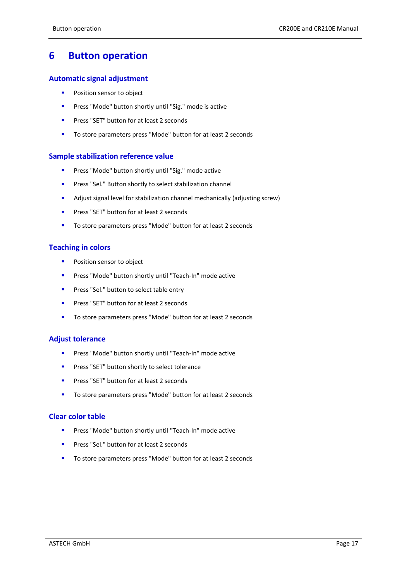## <span id="page-16-0"></span>**6 Button operation**

#### **Automatic signal adjustment**

- **Position sensor to object**
- **Press "Mode" button shortly until "Sig." mode is active**
- **Press "SET" button for at least 2 seconds**
- To store parameters press "Mode" button for at least 2 seconds

#### **Sample stabilization reference value**

- **Press "Mode" button shortly until "Sig." mode active**
- **Press "Sel." Button shortly to select stabilization channel**
- Adjust signal level for stabilization channel mechanically (adjusting screw)
- **Press "SET" button for at least 2 seconds**
- To store parameters press "Mode" button for at least 2 seconds

#### **Teaching in colors**

- **Position sensor to object**
- **Press "Mode" button shortly until "Teach-In" mode active**
- **Press "Sel." button to select table entry**
- **Press "SET" button for at least 2 seconds**
- To store parameters press "Mode" button for at least 2 seconds

#### **Adjust tolerance**

- **Press "Mode" button shortly until "Teach-In" mode active**
- **Press "SET" button shortly to select tolerance**
- **Press "SET" button for at least 2 seconds**
- To store parameters press "Mode" button for at least 2 seconds

#### **Clear color table**

- **Press "Mode" button shortly until "Teach-In" mode active**
- **Press "Sel." button for at least 2 seconds**
- To store parameters press "Mode" button for at least 2 seconds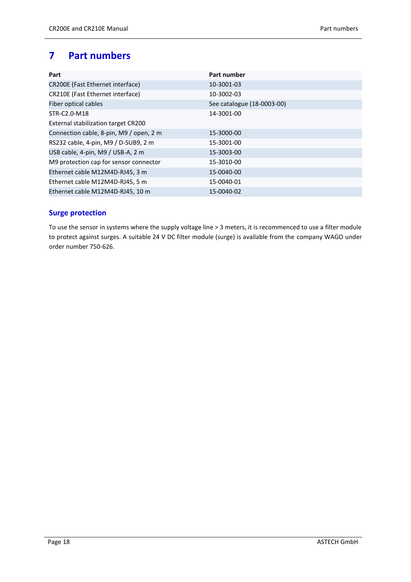## <span id="page-17-0"></span>**7 Part numbers**

| Part                                    | Part number                |
|-----------------------------------------|----------------------------|
| CR200E (Fast Ethernet interface)        | 10-3001-03                 |
| CR210E (Fast Ethernet interface)        | 10-3002-03                 |
| Fiber optical cables                    | See catalogue (18-0003-00) |
| STR-C2.0-M18                            | 14-3001-00                 |
| External stabilization target CR200     |                            |
| Connection cable, 8-pin, M9 / open, 2 m | 15-3000-00                 |
| RS232 cable, 4-pin, M9 / D-SUB9, 2 m    | 15-3001-00                 |
| USB cable, 4-pin, M9 / USB-A, 2 m       | 15-3003-00                 |
| M9 protection cap for sensor connector  | 15-3010-00                 |
| Ethernet cable M12M4D-RJ45, 3 m         | 15-0040-00                 |
| Ethernet cable M12M4D-RJ45, 5 m         | 15-0040-01                 |
| Ethernet cable M12M4D-RJ45, 10 m        | 15-0040-02                 |

#### **Surge protection**

To use the sensor in systems where the supply voltage line > 3 meters, it is recommenced to use a filter module to protect against surges. A suitable 24 V DC filter module (surge) is available from the company WAGO under order number 750-626.